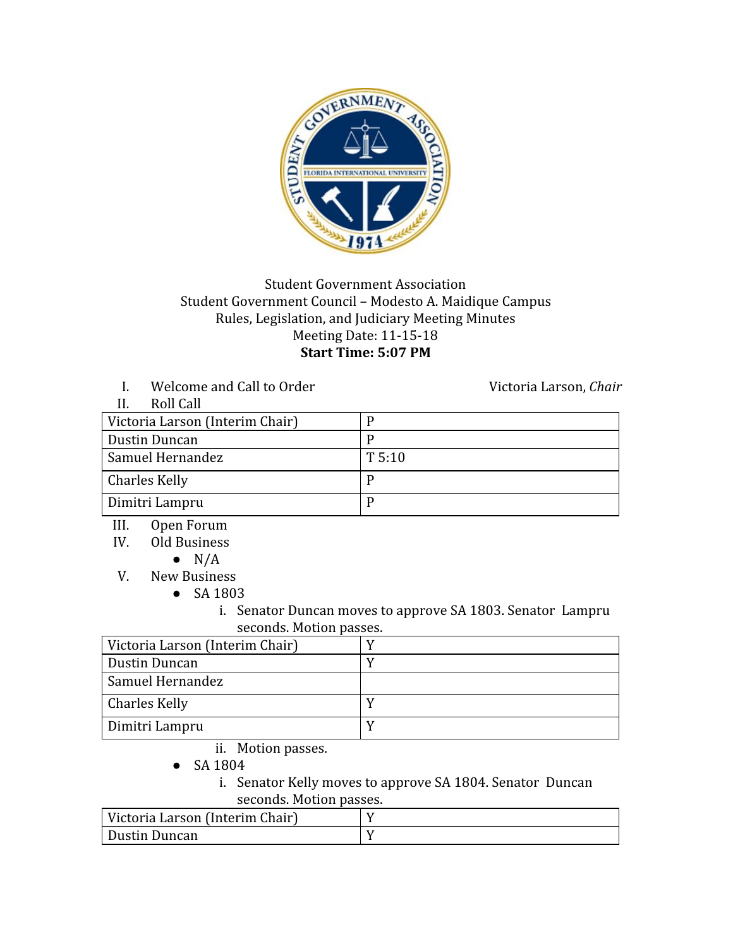

## Student Government Association Student Government Council – Modesto A. Maidique Campus Rules, Legislation, and Judiciary Meeting Minutes Meeting Date: 11-15-18 **Start Time: 5:07 PM**

I. Welcome and Call to Order Victoria Larson, *Chair* 

| Roll Call                       |        |
|---------------------------------|--------|
| Victoria Larson (Interim Chair) |        |
| Dustin Duncan                   |        |
| Samuel Hernandez                | T 5:10 |
| <b>Charles Kelly</b>            |        |
| Dimitri Lampru                  |        |

- III. Open Forum
- IV. Old Business
	- $\bullet$  N/A
- V. New Business
	- SA 1803
		- i. Senator Duncan moves to approve SA 1803. Senator Lampru seconds. Motion passes.

| Victoria Larson (Interim Chair) |  |
|---------------------------------|--|
| Dustin Duncan                   |  |
| Samuel Hernandez                |  |
| Charles Kelly                   |  |
| Dimitri Lampru                  |  |

- ii. Motion passes.
- SA 1804

i. Senator Kelly moves to approve SA 1804. Senator Duncan seconds. Motion passes.

| Victoria Larson (Interim Chair) |  |
|---------------------------------|--|
| Dustin Duncan                   |  |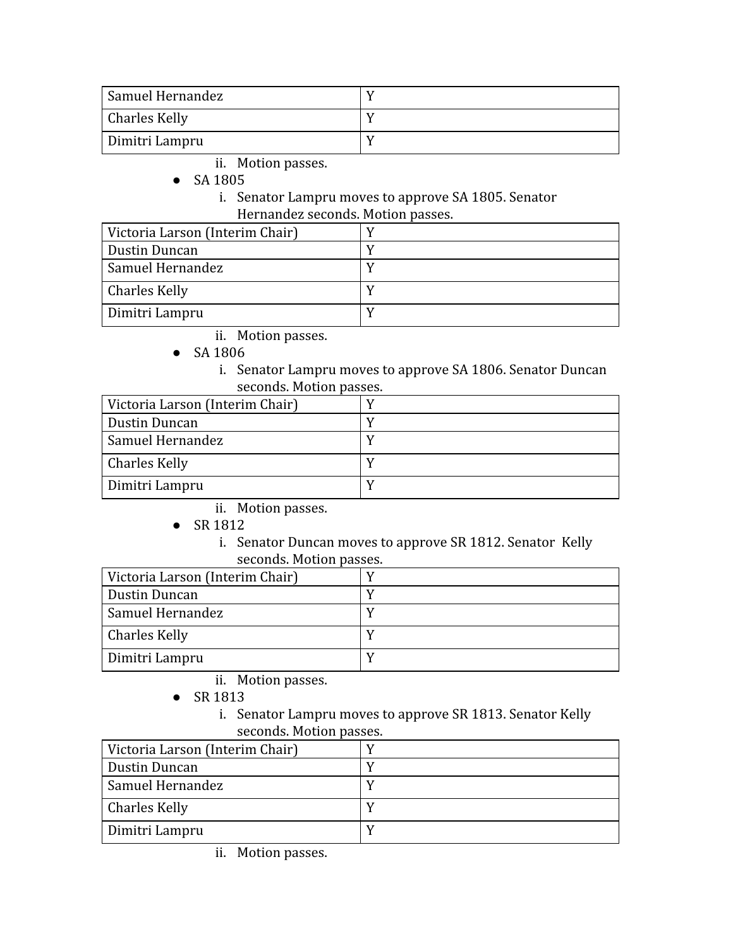| Samuel Hernandez     |  |
|----------------------|--|
| <b>Charles Kelly</b> |  |
| Dimitri Lampru       |  |

- ii. Motion passes.
- SA 1805
	- i. Senator Lampru moves to approve SA 1805. Senator Hernandez seconds. Motion passes.

| Victoria Larson (Interim Chair) |  |
|---------------------------------|--|
| Dustin Duncan                   |  |
| Samuel Hernandez                |  |
| Charles Kelly                   |  |
| Dimitri Lampru                  |  |

- ii. Motion passes.
- SA 1806
	- i. Senator Lampru moves to approve SA 1806. Senator Duncan seconds. Motion passes.

| Victoria Larson (Interim Chair) |  |
|---------------------------------|--|
| Dustin Duncan                   |  |
| Samuel Hernandez                |  |
| <b>Charles Kelly</b>            |  |
| Dimitri Lampru                  |  |

- ii. Motion passes.
- SR 1812
	- i. Senator Duncan moves to approve SR 1812. Senator Kelly seconds. Motion passes.

| Victoria Larson (Interim Chair) |  |
|---------------------------------|--|
| Dustin Duncan                   |  |
| <b>Samuel Hernandez</b>         |  |
| <b>Charles Kelly</b>            |  |
| Dimitri Lampru                  |  |

- ii. Motion passes.
- SR 1813
	- i. Senator Lampru moves to approve SR 1813. Senator Kelly seconds. Motion passes.

| Victoria Larson (Interim Chair) |  |
|---------------------------------|--|
| Dustin Duncan                   |  |
| Samuel Hernandez                |  |
| <b>Charles Kelly</b>            |  |
| Dimitri Lampru                  |  |

ii. Motion passes.